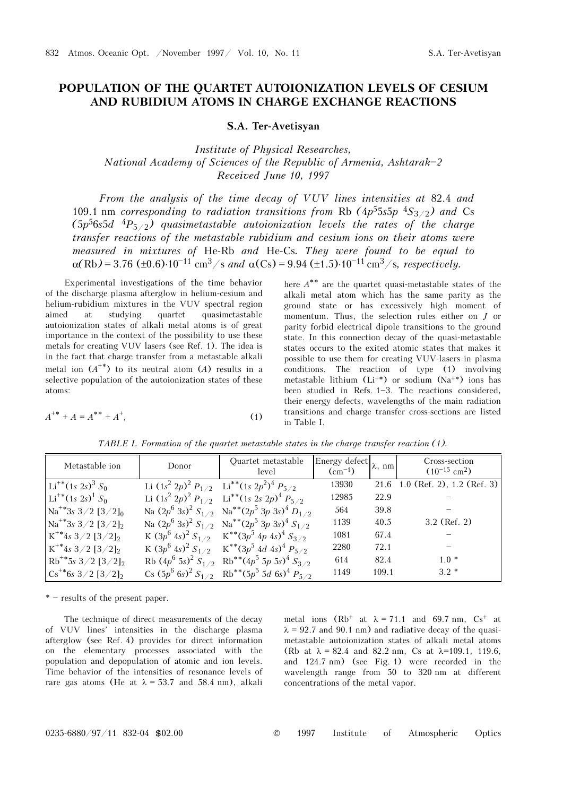## **POPULATION OF THE QUARTET AUTOIONIZATION LEVELS OF CESIUM AND RUBIDIUM ATOMS IN CHARGE EXCHANGE REACTIONS**

**S.A. Ter-Avetisyan** 

*Institute of Physical Researches, National Academy of Sciences of the Republic of Armenia, Ashtarak\$2 Received June 10, 1997* 

*From the analysis of the time decay of VUV lines intensities at* 82.4 *and*  109.1 nm *corresponding to radiation transitions from Rb*  $(4p^55s5p^4S_{3/2})$  *and Cs*  $(5p<sup>5</sup>6s5d<sup>4</sup>P<sub>5/2</sub>)$  quasimetastable autoionization levels the rates of the charge *transfer reactions of the metastable rubidium and cesium ions on their atoms were measured in mixtures of* He-Rb *and* He-Cs*. They were found to be equal to*   $\alpha(Rb) = 3.76 \text{ (+0.6)} \cdot 10^{-11} \text{ cm}^3/\text{s}$  and  $\alpha(Cs) = 9.94 \text{ (+1.5)} \cdot 10^{-11} \text{ cm}^3/\text{s}$ , respectively.

Experimental investigations of the time behavior of the discharge plasma afterglow in helium-cesium and helium-rubidium mixtures in the VUV spectral region aimed at studying quartet quasimetastable autoionization states of alkali metal atoms is of great importance in the context of the possibility to use these metals for creating VUV lasers (see Ref. 1). The idea is in the fact that charge transfer from a metastable alkali metal ion  $(A^{**})$  to its neutral atom  $(A)$  results in a selective population of the autoionization states of these atoms:

$$
A^{**} + A = A^{**} + A^+, \tag{1}
$$

here *A*\*\* are the quartet quasi-metastable states of the alkali metal atom which has the same parity as the ground state or has excessively high moment of momentum. Thus, the selection rules either on *J* or parity forbid electrical dipole transitions to the ground state. In this connection decay of the quasi-metastable states occurs to the exited atomic states that makes it possible to use them for creating VUV-lasers in plasma conditions. The reaction of type (1) involving metastable lithium  $(L<sup>i</sup>)$  or sodium  $(Na<sup>**</sup>)$  ions has been studied in Refs.  $1-3$ . The reactions considered, their energy defects, wavelengths of the main radiation transitions and charge transfer cross-sections are listed in Table I.

| Metastable ion                                       | Donor | Quartet metastable<br>level                                                 | Energy defect<br>$(cm^{-1})$ | $\lambda$ , nm | Cross-section<br>$(10^{-15}$ cm <sup>2</sup> ) |
|------------------------------------------------------|-------|-----------------------------------------------------------------------------|------------------------------|----------------|------------------------------------------------|
| Li <sup>+*</sup> (1s 2s) <sup>3</sup> S <sub>0</sub> |       | Li $(1s^2 2p)^2 P_{1/2}$ Li <sup>**</sup> $(1s 2p^2)^4 P_{5/2}$             | 13930                        | 21.6           | $1.0$ (Ref. 2), 1.2 (Ref. 3)                   |
| Li <sup>+*</sup> (1s 2s) <sup>1</sup> S <sub>0</sub> |       | Li $(1s^2 2p)^2 P_{1/2}$ Li <sup>**</sup> (1s 2s 2p) <sup>4</sup> $P_{5/2}$ | 12985                        | 22.9           |                                                |
| $Na^{+*}3s$ 3/2 [3/2] <sub>0</sub>                   |       | Na $(2p^6 3s)^2 S_{1/2}$ Na <sup>**</sup> $(2p^5 3p 3s)^4 D_{1/2}$          | 564                          | 39.8           |                                                |
| $Na^{**}3s$ 3/2 $[3/2]_2$                            |       | Na $(2p^6 3s)^2 S_{1/2}$ Na <sup>**</sup> $(2p^5 3p 3s)^4 S_{1/2}$          | 1139                         | 40.5           | $3.2$ (Ref. 2)                                 |
| $K^{**}$ 4s 3/2 [3/2] <sub>2</sub>                   |       | K $(3p^6 4s)^2 S_{1/2}$ K <sup>**</sup> $(3p^5 4p 4s)^4 S_{3/2}$            | 1081                         | 67.4           |                                                |
| $K^*$ 4s 3/2 [3/2] <sub>2</sub>                      |       | K $(3p^6 4s)^2 S_{1/2}$ K <sup>**</sup> $(3p^5 4d 4s)^4 P_{5/2}$            | 2280                         | 72.1           |                                                |
| $Rb^{**}$ 5s 3/2 [3/2] <sub>2</sub>                  |       | Rb $(4p^6 5s)^2 S_{1/2}$ Rb <sup>**</sup> $(4p^5 5p 5s)^4 S_{3/2}$          | 614                          | 82.4           | $1.0*$                                         |
| $\text{Cs}^{**}$ 6s 3/2 [3/2] <sub>2</sub>           |       | Cs $(5p^6 6s)^2 S_{1/2}$ Rb <sup>**</sup> $(5p^5 5d 6s)^4 P_{5/2}$          | 1149                         | 109.1          | $3.2*$                                         |

*TABLE I. Formation of the quartet metastable states in the charge transfer reaction (1).* 

 $*$  - results of the present paper.

The technique of direct measurements of the decay of VUV lines' intensities in the discharge plasma afterglow (see Ref. 4) provides for direct information on the elementary processes associated with the population and depopulation of atomic and ion levels. Time behavior of the intensities of resonance levels of rare gas atoms (He at  $\lambda = 53.7$  and 58.4 nm), alkali

metal ions  $(Rb^+$  at  $\lambda = 71.1$  and 69.7 nm,  $Cs^+$  at  $\lambda$  = 92.7 and 90.1 nm) and radiative decay of the quasimetastable autoionization states of alkali metal atoms (Rb at  $\lambda = 82.4$  and 82.2 nm, Cs at  $\lambda = 109.1$ , 119.6, and 124.7 nm) (see Fig. 1) were recorded in the wavelength range from 50 to 320 nm at different concentrations of the metal vapor.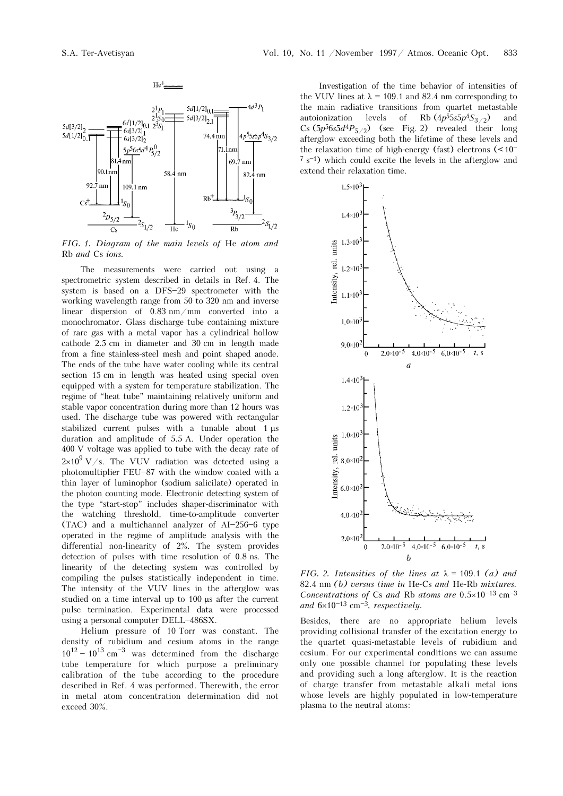

*FIG. 1. Diagram of the main levels of* He *atom and*  Rb *and* Cs *ions.*

The measurements were carried out using a spectrometric system described in details in Ref. 4. The system is based on a DFS-29 spectrometer with the working wavelength range from 50 to 320 nm and inverse linear dispersion of 0.83 nm/mm converted into a monochromator. Glass discharge tube containing mixture of rare gas with a metal vapor has a cylindrical hollow cathode 2.5 cm in diameter and 30 cm in length made from a fine stainless-steel mesh and point shaped anode. The ends of the tube have water cooling while its central section 15 cm in length was heated using special oven equipped with a system for temperature stabilization. The regime of "heat tube" maintaining relatively uniform and stable vapor concentration during more than 12 hours was used. The discharge tube was powered with rectangular stabilized current pulses with a tunable about 1 μs duration and amplitude of 5.5 A. Under operation the 400 V voltage was applied to tube with the decay rate of  $2\times10^9$  V/s. The VUV radiation was detected using a photomultiplier  $FEU-87$  with the window coated with a thin layer of luminophor (sodium salicilate) operated in the photon counting mode. Electronic detecting system of the type "start-stop" includes shaper-discriminator with the watching threshold, time-to-amplitude converter  $(TAC)$  and a multichannel analyzer of AI $-256-6$  type operated in the regime of amplitude analysis with the differential non-linearity of 2%. The system provides detection of pulses with time resolution of 0.8 ns. The linearity of the detecting system was controlled by compiling the pulses statistically independent in time. The intensity of the VUV lines in the afterglow was studied on a time interval up to 100 μs after the current pulse termination. Experimental data were processed using a personal computer DELL-486SX.

Helium pressure of 10 Torr was constant. The density of rubidium and cesium atoms in the range  $10^{12} - 10^{13}$  cm<sup>-3</sup> was determined from the discharge tube temperature for which purpose a preliminary calibration of the tube according to the procedure described in Ref. 4 was performed. Therewith, the error in metal atom concentration determination did not exceed 30%.

Investigation of the time behavior of intensities of the VUV lines at  $\lambda = 109.1$  and 82.4 nm corresponding to the main radiative transitions from quartet metastable autoionization levels of Rb  $(4p^55s5p^4S_{3/2})$  and Cs  $(5p^56s5d^4P_{5/2})$  (see Fig. 2) revealed their long afterglow exceeding both the lifetime of these levels and the relaxation time of high-energy (fast) electrons  $(<10^{-1}$  $7 s<sup>-1</sup>$ ) which could excite the levels in the afterglow and extend their relaxation time.



*FIG. 2. Intensities of the lines at*  $\lambda = 109.1$  *(a) and* 82.4 nm *(b) versus time in* He-Cs *and* He-Rb *mixtures. Concentrations of* Cs *and* Rb *atoms are*  $0.5 \times 10^{-13}$  cm<sup>-3</sup> and  $6\times10^{-13}$  cm<sup>-3</sup>, respectively.

Besides, there are no appropriate helium levels providing collisional transfer of the excitation energy to the quartet quasi-metastable levels of rubidium and cesium. For our experimental conditions we can assume only one possible channel for populating these levels and providing such a long afterglow. It is the reaction of charge transfer from metastable alkali metal ions whose levels are highly populated in low-temperature plasma to the neutral atoms: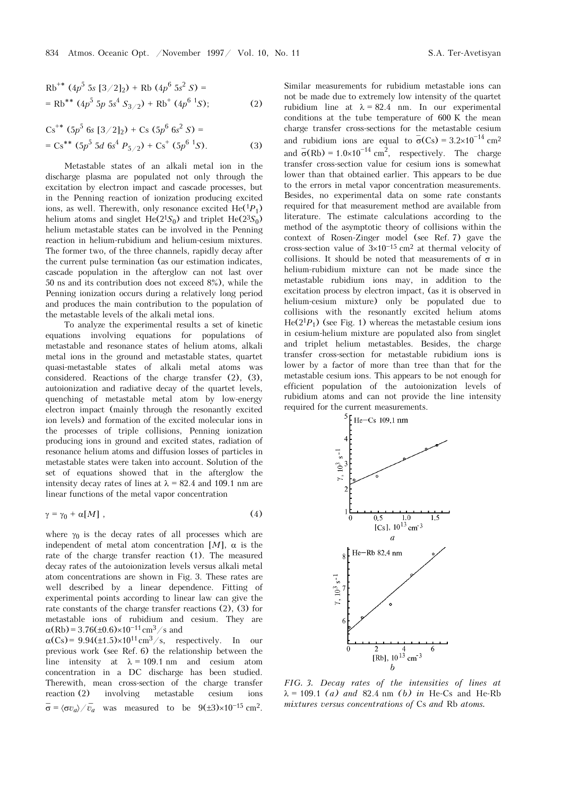$$
Rb^{+*} (4p^5 5s [3/2]_2) + Rb (4p^6 5s^2 S) =
$$
  
= Rb^{\*\*} (4p^5 5p 5s<sup>4</sup> S<sub>3/2</sub>) + Rb<sup>+</sup> (4p<sup>6</sup> 1s); (2)

$$
Cs^{**} (5p^5 6s [3/2]_2) + Cs (5p^6 6s^2 S) =
$$
  
= Cs<sup>\*\*</sup> (5p<sup>5</sup> 5d 6s<sup>4</sup> P<sub>5/2</sub>) + Cs<sup>+</sup> (5p<sup>6</sup> 1S). (3)

Metastable states of an alkali metal ion in the discharge plasma are populated not only through the excitation by electron impact and cascade processes, but in the Penning reaction of ionization producing excited ions, as well. Therewith, only resonance excited  $He({}^{1}P_{1})$ helium atoms and singlet He( $2^{1}S_{0}$ ) and triplet He( $2^{3}S_{0}$ ) helium metastable states can be involved in the Penning reaction in helium-rubidium and helium-cesium mixtures. The former two, of the three channels, rapidly decay after the current pulse termination (as our estimation indicates, cascade population in the afterglow can not last over 50 ns and its contribution does not exceed 8%), while the Penning ionization occurs during a relatively long period and produces the main contribution to the population of the metastable levels of the alkali metal ions.

To analyze the experimental results a set of kinetic equations involving equations for populations of metastable and resonance states of helium atoms, alkali metal ions in the ground and metastable states, quartet quasi-metastable states of alkali metal atoms was considered. Reactions of the charge transfer (2), (3), autoionization and radiative decay of the quartet levels, quenching of metastable metal atom by low-energy electron impact (mainly through the resonantly excited ion levels) and formation of the excited molecular ions in the processes of triple collisions, Penning ionization producing ions in ground and excited states, radiation of resonance helium atoms and diffusion losses of particles in metastable states were taken into account. Solution of the set of equations showed that in the afterglow the intensity decay rates of lines at  $\lambda = 82.4$  and 109.1 nm are linear functions of the metal vapor concentration

$$
\gamma = \gamma_0 + \alpha[M] \tag{4}
$$

where  $\gamma_0$  is the decay rates of all processes which are independent of metal atom concentration  $[M]$ ,  $\alpha$  is the rate of the charge transfer reaction (1). The measured decay rates of the autoionization levels versus alkali metal atom concentrations are shown in Fig. 3. These rates are well described by a linear dependence. Fitting of experimental points according to linear law can give the rate constants of the charge transfer reactions (2), (3) for metastable ions of rubidium and cesium. They are  $\alpha(Rb) = 3.76(\pm 0.6) \times 10^{-11} \text{ cm}^3/\text{s}$  and

 $\alpha(Cs) = 9.94(\pm 1.5) \times 10^{11} \text{ cm}^3/\text{s}$ , respectively. In our previous work (see Ref. 6) the relationship between the line intensity at  $\lambda = 109.1$  nm and cesium atom concentration in a DC discharge has been studied. Therewith, mean cross-section of the charge transfer reaction (2) involving metastable cesium ions  $\overline{\sigma} = \langle \sigma v_a \rangle / \overline{v}_a$  was measured to be  $9(\pm 3) \times 10^{-15}$  cm<sup>2</sup>.

Similar measurements for rubidium metastable ions can not be made due to extremely low intensity of the quartet rubidium line at  $\lambda = 82.4$  nm. In our experimental conditions at the tube temperature of 600 K the mean charge transfer cross-sections for the metastable cesium and rubidium ions are equal to  $\sigma(Cs) = 3.2 \times 10^{-14}$  cm<sup>2</sup> and  $\bar{\sigma}$ (Rb) = 1.0×10<sup>-14</sup> cm<sup>2</sup>, respectively. The charge transfer cross-section value for cesium ions is somewhat lower than that obtained earlier. This appears to be due to the errors in metal vapor concentration measurements. Besides, no experimental data on some rate constants required for that measurement method are available from literature. The estimate calculations according to the method of the asymptotic theory of collisions within the context of Rosen-Zinger model (see Ref. 7) gave the cross-section value of  $3\times10^{-15}$  cm<sup>2</sup> at thermal velocity of collisions. It should be noted that measurements of  $\sigma$  in helium-rubidium mixture can not be made since the metastable rubidium ions may, in addition to the excitation process by electron impact, (as it is observed in helium-cesium mixture) only be populated due to collisions with the resonantly excited helium atoms  $He(2^{1}P_{1})$  (see Fig. 1) whereas the metastable cesium ions in cesium-helium mixture are populated also from singlet and triplet helium metastables. Besides, the charge transfer cross-section for metastable rubidium ions is lower by a factor of more than tree than that for the metastable cesium ions. This appears to be not enough for efficient population of the autoionization levels of rubidium atoms and can not provide the line intensity required for the current measurements.



*FIG. 3. Decay rates of the intensities of lines at* λ = 109.1 *(a) and* 82.4 nm *(b) in* He-Cs and He-Rb *mixtures versus concentrations of* Cs *and* Rb *atoms.*